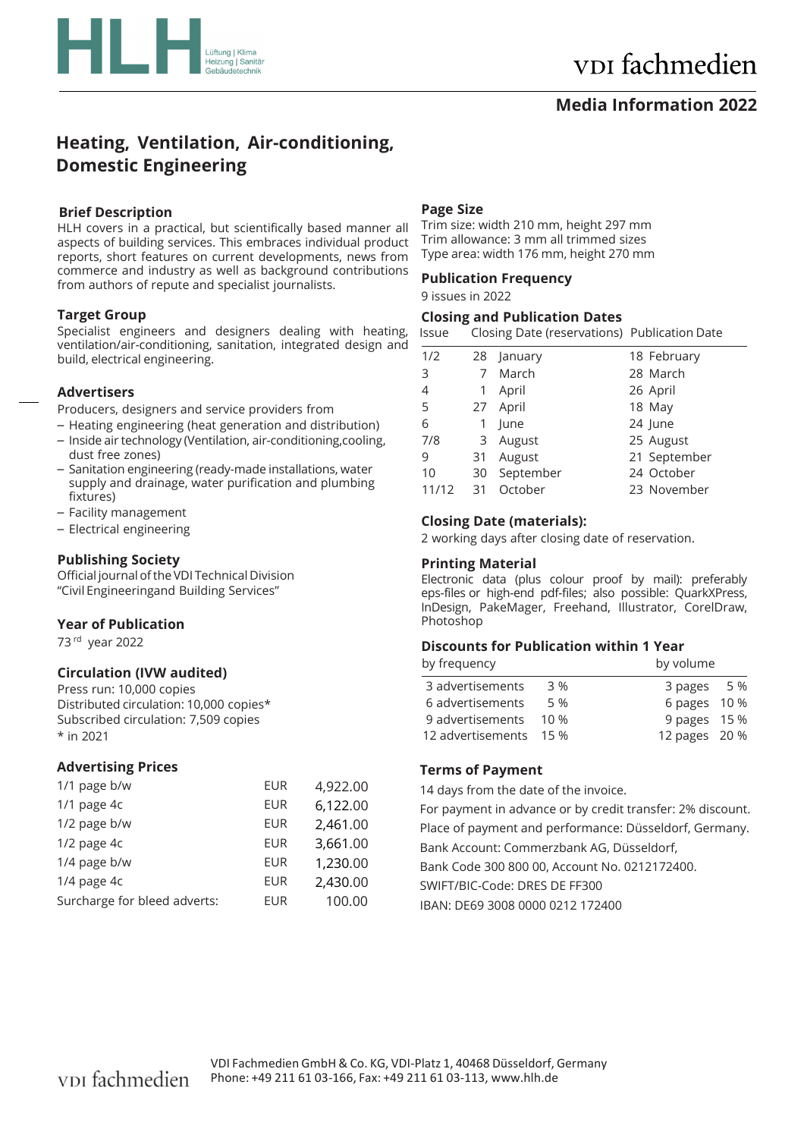

# **Media Information 2022**

# **Heating, Ventilation, Air-conditioning, Domestic Engineering**

## **Brief Description**

HLH covers in a practical, but scientifically based manner all aspects of building services. This embraces individual product reports, short features on current developments, news from commerce and industry as well as background contributions from authors of repute and specialist journalists.

#### **Target Group**

Specialist engineers and designers dealing with heating, ventilation/air-conditioning, sanitation, integrated design and build, electrical engineering.

### **Advertisers**

Producers, designers and service providers from

- Heating engineering (heat generation and distribution)
- Inside air technology (Ventilation, air-conditioning, cooling, dust free zones)
- Sanitation engineering (ready-made installations, water supply and drainage, water purification and plumbing fixtures)
- Facility management
- Electrical engineering

# **Publishing Society**

Official journal of the VDI Technical Division "Civil Engineering and Building Services"

# **Year of Publication**

73 rd year 2022

# **Circulation (IVW audited)**

Press run: 10,000 copies Distributed circulation: 10,000 copies\* Subscribed circulation: 7,509 copies \* in 2021

# **Advertising Prices**

| 1/1 page b/w                 | <b>EUR</b> | 4,922.00 |
|------------------------------|------------|----------|
| $1/1$ page $4c$              | <b>EUR</b> | 6,122.00 |
| 1/2 page b/w                 | <b>EUR</b> | 2,461.00 |
| 1/2 page 4c                  | <b>EUR</b> | 3,661.00 |
| 1/4 page b/w                 | EUR        | 1,230.00 |
| 1/4 page 4c                  | <b>EUR</b> | 2,430.00 |
| Surcharge for bleed adverts: | <b>EUR</b> | 100.00   |

# **Page Size**

Trim size: width 210 mm, height 297 mm Trim allowance: 3 mm all trimmed sizes Type area: width 176 mm, height 270 mm

#### **Publication Frequency**

9 issues in 2022

#### **Closing and Publication Dates**

| Issue | Closing Date (reservations) Publication Date |            |              |
|-------|----------------------------------------------|------------|--------------|
| 1/2   |                                              | 28 January | 18 February  |
| 3     |                                              | March      | 28 March     |
| 4     | 1                                            | April      | 26 April     |
| 5     |                                              | 27 April   | 18 May       |
| 6     | 1                                            | lune       | 24 June      |
| 7/8   | 3                                            | August     | 25 August    |
| 9     | 31                                           | August     | 21 September |
| 10    | 30                                           | September  | 24 October   |
| 11/12 | 31                                           | October    | 23 November  |

### **Closing Date (materials):**

2 working days after closing date of reservation.

#### **Printing Material**

Electronic data (plus colour proof by mail): preferably eps-files or high-end pdf-files; also possible: QuarkXPress, InDesign, PakeMager, Freehand, Illustrator, CorelDraw, Photoshop

# **Discounts for Publication within 1 Year**

| by frequency           |        | by volume     |
|------------------------|--------|---------------|
| 3 advertisements       | 3 %    | 3 pages 5 %   |
| 6 advertisements       | 5 %    | 6 pages 10 %  |
| 9 advertisements       | $10\%$ | 9 pages 15 %  |
| 12 advertisements 15 % |        | 12 pages 20 % |

#### **Terms of Payment**

14 days from the date of the invoice.

For payment in advance or by credit transfer: 2% discount. Place of payment and performance: Düsseldorf, Germany. Bank Account: Commerzbank AG, Düsseldorf, Bank Code 300 800 00, Account No. 0212172400. SWIFT/BIC-Code: DRES DE FF300 IBAN: DE69 3008 0000 0212 172400